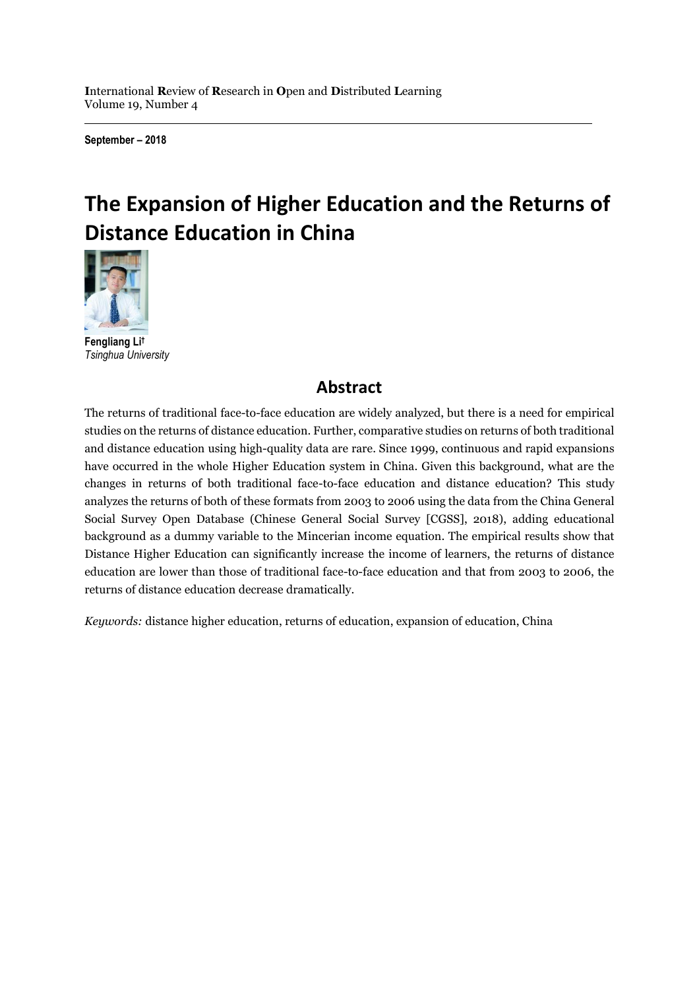**I**nternational **R**eview of **R**esearch in **O**pen and **D**istributed **L**earning Volume 19, Number 4

**September – 2018**

# **The Expansion of Higher Education and the Returns of Distance Education in China**



**Fengliang Li †** *Tsinghua University*

### **Abstract**

The returns of traditional face-to-face education are widely analyzed, but there is a need for empirical studies on the returns of distance education. Further, comparative studies on returns of both traditional and distance education using high-quality data are rare. Since 1999, continuous and rapid expansions have occurred in the whole Higher Education system in China. Given this background, what are the changes in returns of both traditional face-to-face education and distance education? This study analyzes the returns of both of these formats from 2003 to 2006 using the data from the China General Social Survey Open Database (Chinese General Social Survey [CGSS], 2018), adding educational background as a dummy variable to the Mincerian income equation. The empirical results show that Distance Higher Education can significantly increase the income of learners, the returns of distance education are lower than those of traditional face-to-face education and that from 2003 to 2006, the returns of distance education decrease dramatically.

*Keywords:* distance higher education, returns of education, expansion of education, China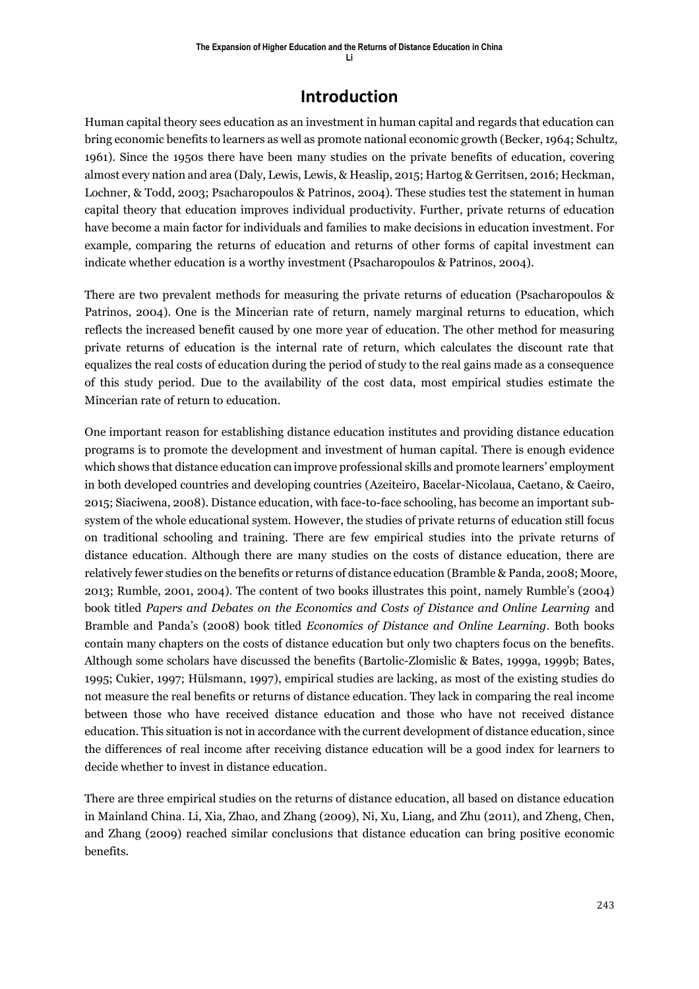### **Introduction**

Human capital theory sees education as an investment in human capital and regards that education can bring economic benefits to learners as well as promote national economic growth (Becker, 1964; Schultz, 1961). Since the 1950s there have been many studies on the private benefits of education, covering almost every nation and area (Daly, Lewis, Lewis, & Heaslip, 2015; Hartog & Gerritsen, 2016; Heckman, Lochner, & Todd, 2003; Psacharopoulos & Patrinos, 2004). These studies test the statement in human capital theory that education improves individual productivity. Further, private returns of education have become a main factor for individuals and families to make decisions in education investment. For example, comparing the returns of education and returns of other forms of capital investment can indicate whether education is a worthy investment (Psacharopoulos & Patrinos, 2004).

There are two prevalent methods for measuring the private returns of education (Psacharopoulos & Patrinos, 2004). One is the Mincerian rate of return, namely marginal returns to education, which reflects the increased benefit caused by one more year of education. The other method for measuring private returns of education is the internal rate of return, which calculates the discount rate that equalizes the real costs of education during the period of study to the real gains made as a consequence of this study period. Due to the availability of the cost data, most empirical studies estimate the Mincerian rate of return to education.

One important reason for establishing distance education institutes and providing distance education programs is to promote the development and investment of human capital. There is enough evidence which shows that distance education can improve professional skills and promote learners' employment in both developed countries and developing countries (Azeiteiro, Bacelar-Nicolaua, Caetano, & Caeiro, 2015; Siaciwena, 2008). Distance education, with face-to-face schooling, has become an important subsystem of the whole educational system. However, the studies of private returns of education still focus on traditional schooling and training. There are few empirical studies into the private returns of distance education. Although there are many studies on the costs of distance education, there are relatively fewer studies on the benefits or returns of distance education (Bramble & Panda, 2008; Moore, 2013; Rumble, 2001, 2004). The content of two books illustrates this point, namely Rumble's (2004) book titled *Papers and Debates on the Economics and Costs of Distance and Online Learning* and Bramble and Panda's (2008) book titled *Economics of Distance and Online Learning*. Both books contain many chapters on the costs of distance education but only two chapters focus on the benefits. Although some scholars have discussed the benefits (Bartolic-Zlomislic & Bates, 1999a, 1999b; Bates, 1995; Cukier, 1997; Hülsmann, 1997), empirical studies are lacking, as most of the existing studies do not measure the real benefits or returns of distance education. They lack in comparing the real income between those who have received distance education and those who have not received distance education. This situation is not in accordance with the current development of distance education, since the differences of real income after receiving distance education will be a good index for learners to decide whether to invest in distance education.

There are three empirical studies on the returns of distance education, all based on distance education in Mainland China. Li, Xia, Zhao, and Zhang (2009), Ni, Xu, Liang, and Zhu (2011), and Zheng, Chen, and Zhang (2009) reached similar conclusions that distance education can bring positive economic benefits.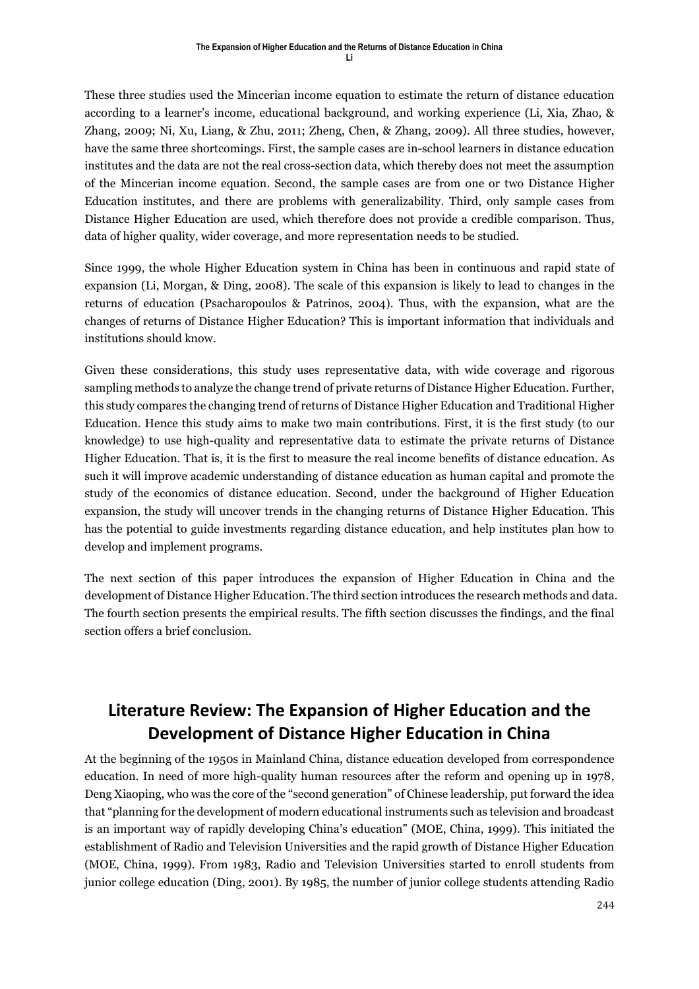These three studies used the Mincerian income equation to estimate the return of distance education according to a learner's income, educational background, and working experience (Li, Xia, Zhao, & Zhang, 2009; Ni, Xu, Liang, & Zhu, 2011; Zheng, Chen, & Zhang, 2009). All three studies, however, have the same three shortcomings. First, the sample cases are in-school learners in distance education institutes and the data are not the real cross-section data, which thereby does not meet the assumption of the Mincerian income equation. Second, the sample cases are from one or two Distance Higher Education institutes, and there are problems with generalizability. Third, only sample cases from Distance Higher Education are used, which therefore does not provide a credible comparison. Thus, data of higher quality, wider coverage, and more representation needs to be studied.

Since 1999, the whole Higher Education system in China has been in continuous and rapid state of expansion (Li, Morgan, & Ding, 2008). The scale of this expansion is likely to lead to changes in the returns of education (Psacharopoulos & Patrinos, 2004). Thus, with the expansion, what are the changes of returns of Distance Higher Education? This is important information that individuals and institutions should know.

Given these considerations, this study uses representative data, with wide coverage and rigorous sampling methods to analyze the change trend of private returns of Distance Higher Education. Further, this study compares the changing trend of returns of Distance Higher Education and Traditional Higher Education. Hence this study aims to make two main contributions. First, it is the first study (to our knowledge) to use high-quality and representative data to estimate the private returns of Distance Higher Education. That is, it is the first to measure the real income benefits of distance education. As such it will improve academic understanding of distance education as human capital and promote the study of the economics of distance education. Second, under the background of Higher Education expansion, the study will uncover trends in the changing returns of Distance Higher Education. This has the potential to guide investments regarding distance education, and help institutes plan how to develop and implement programs.

The next section of this paper introduces the expansion of Higher Education in China and the development of Distance Higher Education. The third section introduces the research methods and data. The fourth section presents the empirical results. The fifth section discusses the findings, and the final section offers a brief conclusion.

# **Literature Review: The Expansion of Higher Education and the Development of Distance Higher Education in China**

At the beginning of the 1950s in Mainland China, distance education developed from correspondence education. In need of more high-quality human resources after the reform and opening up in 1978, Deng Xiaoping, who was the core of the "second generation" of Chinese leadership, put forward the idea that "planning for the development of modern educational instruments such as television and broadcast is an important way of rapidly developing China's education" (MOE, China, 1999). This initiated the establishment of Radio and Television Universities and the rapid growth of Distance Higher Education (MOE, China, 1999). From 1983, Radio and Television Universities started to enroll students from junior college education (Ding, 2001). By 1985, the number of junior college students attending Radio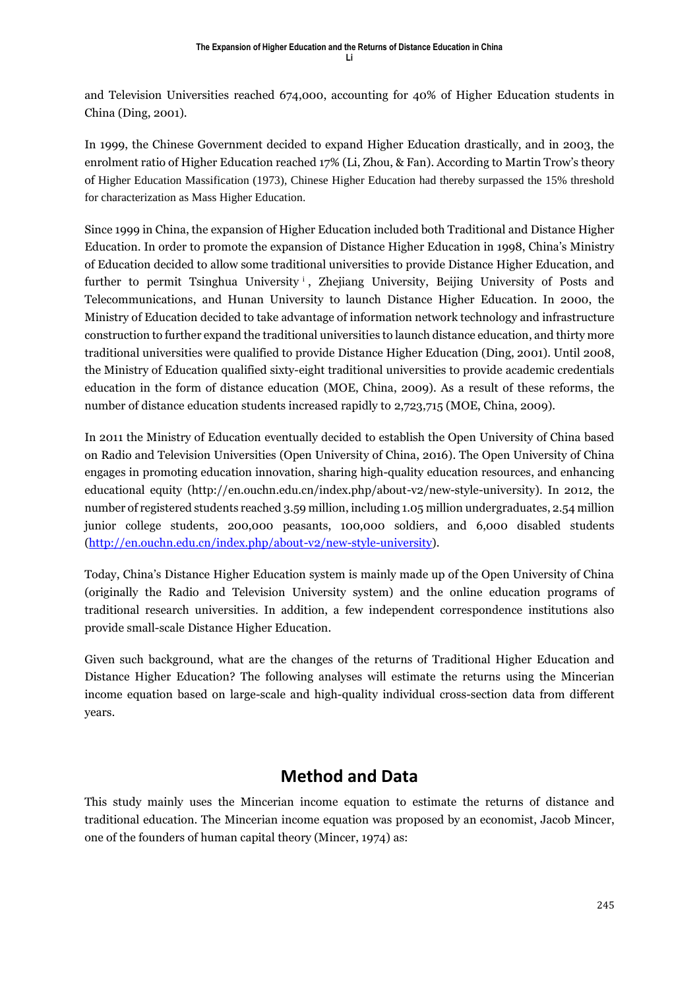and Television Universities reached 674,000, accounting for 40% of Higher Education students in China (Ding, 2001).

In 1999, the Chinese Government decided to expand Higher Education drastically, and in 2003, the enrolment ratio of Higher Education reached 17% (Li, Zhou, & Fan). According to Martin Trow's theory of Higher Education Massification (1973), Chinese Higher Education had thereby surpassed the 15% threshold for characterization as Mass Higher Education.

Since 1999 in China, the expansion of Higher Education included both Traditional and Distance Higher Education. In order to promote the expansion of Distance Higher Education in 1998, China's Ministry of Education decided to allow some traditional universities to provide Distance Higher Education, and further to permit Tsinghua University<sup>i</sup>, Zhejiang University, Beijing University of Posts and Telecommunications, and Hunan University to launch Distance Higher Education. In 2000, the Ministry of Education decided to take advantage of information network technology and infrastructure construction to further expand the traditional universities to launch distance education, and thirty more traditional universities were qualified to provide Distance Higher Education (Ding, 2001). Until 2008, the Ministry of Education qualified sixty-eight traditional universities to provide academic credentials education in the form of distance education (MOE, China, 2009). As a result of these reforms, the number of distance education students increased rapidly to 2,723,715 (MOE, China, 2009).

In 2011 the Ministry of Education eventually decided to establish the Open University of China based on Radio and Television Universities (Open University of China, 2016). The Open University of China engages in promoting education innovation, sharing high-quality education resources, and enhancing educational equity (http://en.ouchn.edu.cn/index.php/about-v2/new-style-university). In 2012, the number of registered students reached 3.59 million, including 1.05 million undergraduates, 2.54 million junior college students, 200,000 peasants, 100,000 soldiers, and 6,000 disabled students [\(http://en.ouchn.edu.cn/index.php/about-v2/new-style-university\)](http://en.ouchn.edu.cn/index.php/about-v2/new-style-university).

Today, China's Distance Higher Education system is mainly made up of the Open University of China (originally the Radio and Television University system) and the online education programs of traditional research universities. In addition, a few independent correspondence institutions also provide small-scale Distance Higher Education.

Given such background, what are the changes of the returns of Traditional Higher Education and Distance Higher Education? The following analyses will estimate the returns using the Mincerian income equation based on large-scale and high-quality individual cross-section data from different years.

# **Method and Data**

This study mainly uses the Mincerian income equation to estimate the returns of distance and traditional education. The Mincerian income equation was proposed by an economist, Jacob Mincer, one of the founders of human capital theory (Mincer, 1974) as: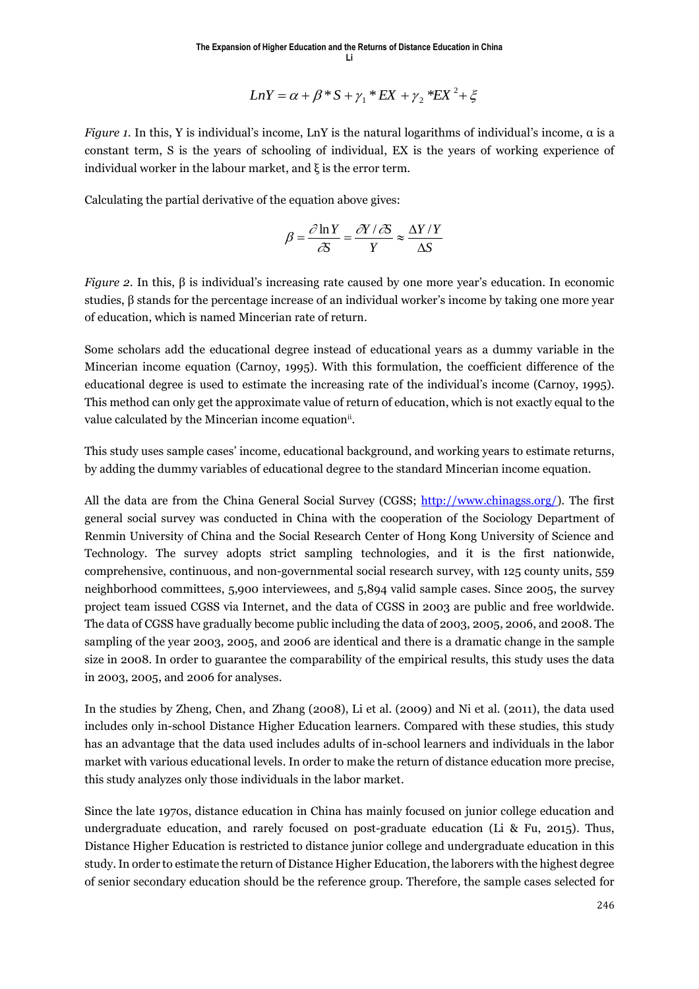$$
LnY = \alpha + \beta * S + \gamma_1 * EX + \gamma_2 * EX^2 + \xi
$$

*Figure 1.* In this, Y is individual's income, LnY is the natural logarithms of individual's income, α is a constant term, S is the years of schooling of individual, EX is the years of working experience of individual worker in the labour market, and ξ is the error term.

Calculating the partial derivative of the equation above gives:

$$
\beta = \frac{\partial \ln Y}{\partial S} = \frac{\partial Y / \partial S}{Y} \approx \frac{\Delta Y / Y}{\Delta S}
$$

*Figure 2.* In this,  $\beta$  is individual's increasing rate caused by one more year's education. In economic studies, β stands for the percentage increase of an individual worker's income by taking one more year of education, which is named Mincerian rate of return.

Some scholars add the educational degree instead of educational years as a dummy variable in the Mincerian income equation (Carnoy, 1995). With this formulation, the coefficient difference of the educational degree is used to estimate the increasing rate of the individual's income (Carnoy, 1995). This method can only get the approximate value of return of education, which is not exactly equal to the value calculated by the Mincerian income equation<sup>ii</sup>.

This study uses sample cases' income, educational background, and working years to estimate returns, by adding the dummy variables of educational degree to the standard Mincerian income equation.

All the data are from the China General Social Survey (CGSS; http://www.chinagss.org/). The first general social survey was conducted in China with the cooperation of the Sociology Department of Renmin University of China and the Social Research Center of Hong Kong University of Science and Technology. The survey adopts strict sampling technologies, and it is the first nationwide, comprehensive, continuous, and non-governmental social research survey, with 125 county units, 559 neighborhood committees, 5,900 interviewees, and 5,894 valid sample cases. Since 2005, the survey project team issued CGSS via Internet, and the data of CGSS in 2003 are public and free worldwide. The data of CGSS have gradually become public including the data of 2003, 2005, 2006, and 2008. The sampling of the year 2003, 2005, and 2006 are identical and there is a dramatic change in the sample size in 2008. In order to guarantee the comparability of the empirical results, this study uses the data in 2003, 2005, and 2006 for analyses.

In the studies by Zheng, Chen, and Zhang (2008), Li et al. (2009) and Ni et al. (2011), the data used includes only in-school Distance Higher Education learners. Compared with these studies, this study has an advantage that the data used includes adults of in-school learners and individuals in the labor market with various educational levels. In order to make the return of distance education more precise, this study analyzes only those individuals in the labor market.

Since the late 1970s, distance education in China has mainly focused on junior college education and undergraduate education, and rarely focused on post-graduate education (Li & Fu, 2015). Thus, Distance Higher Education is restricted to distance junior college and undergraduate education in this study. In order to estimate the return of Distance Higher Education, the laborers with the highest degree of senior secondary education should be the reference group. Therefore, the sample cases selected for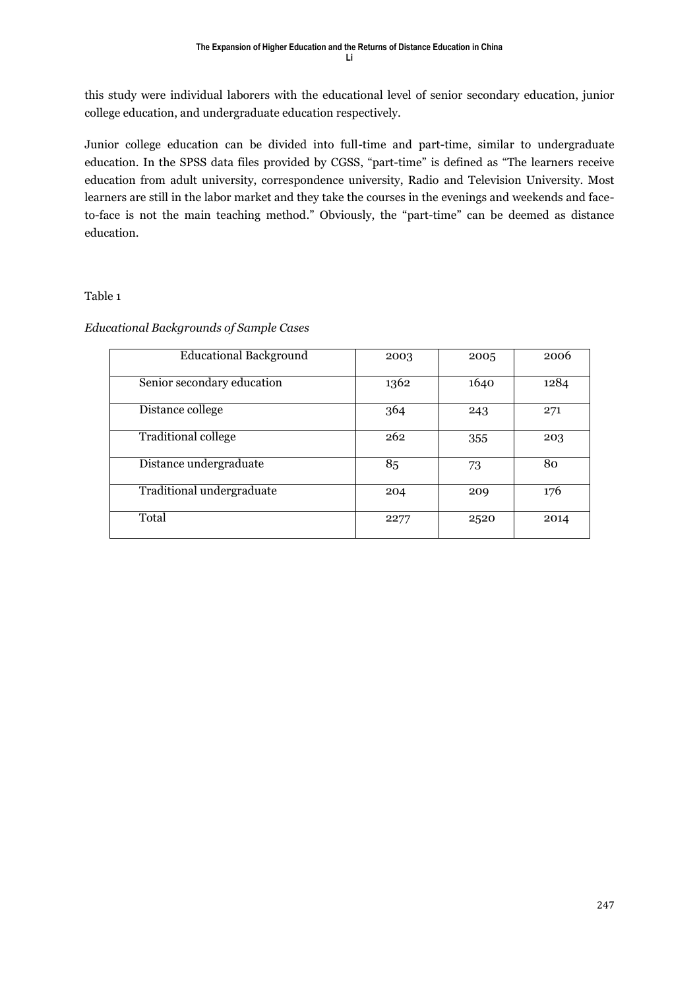this study were individual laborers with the educational level of senior secondary education, junior college education, and undergraduate education respectively.

Junior college education can be divided into full-time and part-time, similar to undergraduate education. In the SPSS data files provided by CGSS, "part-time" is defined as "The learners receive education from adult university, correspondence university, Radio and Television University. Most learners are still in the labor market and they take the courses in the evenings and weekends and faceto-face is not the main teaching method." Obviously, the "part-time" can be deemed as distance education.

#### Table 1

#### *Educational Backgrounds of Sample Cases*

| <b>Educational Background</b> | 2003 | 2005 | 2006 |
|-------------------------------|------|------|------|
| Senior secondary education    | 1362 | 1640 | 1284 |
| Distance college              | 364  | 243  | 271  |
| <b>Traditional college</b>    | 262  | 355  | 203  |
| Distance undergraduate        | 85   | 73   | 80   |
| Traditional undergraduate     | 204  | 209  | 176  |
| Total                         | 2277 | 2520 | 2014 |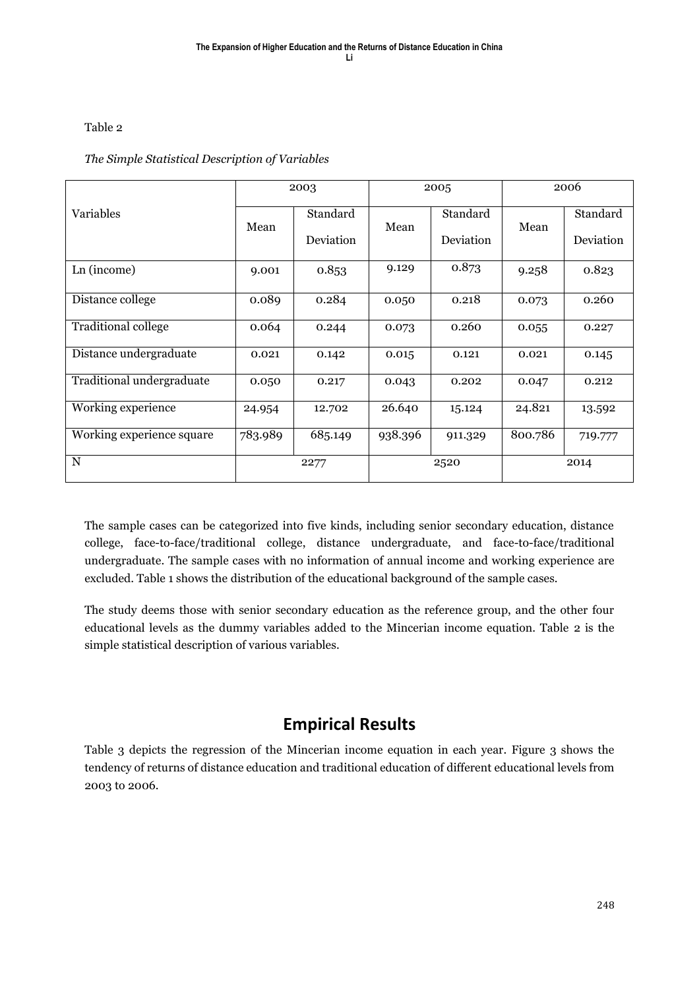#### Table 2

#### *The Simple Statistical Description of Variables*

|                           | 2003    |           | 2005    |           | 2006    |           |
|---------------------------|---------|-----------|---------|-----------|---------|-----------|
| Variables                 | Mean    | Standard  | Mean    | Standard  | Mean    | Standard  |
|                           |         | Deviation |         | Deviation |         | Deviation |
| Ln (income)               | 9.001   | 0.853     | 9.129   | 0.873     | 9.258   | 0.823     |
| Distance college          | 0.089   | 0.284     | 0.050   | 0.218     | 0.073   | 0.260     |
| Traditional college       | 0.064   | 0.244     | 0.073   | 0.260     | 0.055   | 0.227     |
| Distance undergraduate    | 0.021   | 0.142     | 0.015   | 0.121     | 0.021   | 0.145     |
| Traditional undergraduate | 0.050   | 0.217     | 0.043   | 0.202     | 0.047   | 0.212     |
| Working experience        | 24.954  | 12.702    | 26.640  | 15.124    | 24.821  | 13.592    |
| Working experience square | 783.989 | 685.149   | 938.396 | 911.329   | 800.786 | 719.777   |
| $\mathbf N$               |         | 2277      |         | 2520      |         | 2014      |

The sample cases can be categorized into five kinds, including senior secondary education, distance college, face-to-face/traditional college, distance undergraduate, and face-to-face/traditional undergraduate. The sample cases with no information of annual income and working experience are excluded. Table 1 shows the distribution of the educational background of the sample cases.

The study deems those with senior secondary education as the reference group, and the other four educational levels as the dummy variables added to the Mincerian income equation. Table 2 is the simple statistical description of various variables.

# **Empirical Results**

Table 3 depicts the regression of the Mincerian income equation in each year. Figure 3 shows the tendency of returns of distance education and traditional education of different educational levels from 2003 to 2006.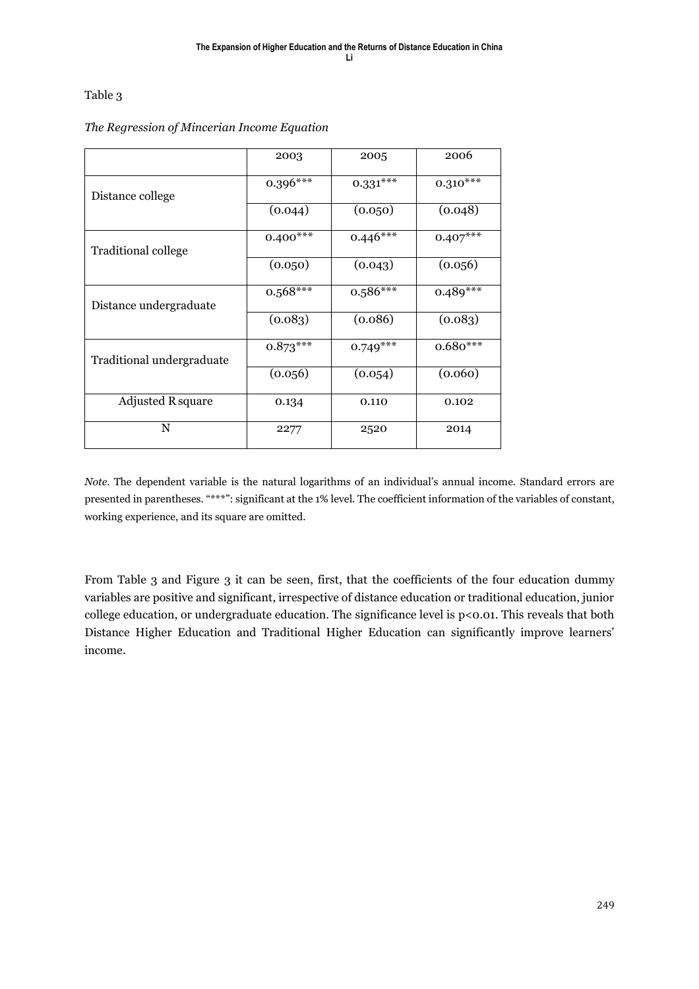#### Table 3

|                            | 2003       | 2005       | 2006       |
|----------------------------|------------|------------|------------|
| Distance college           | $0.396***$ | $0.331***$ | $0.310***$ |
|                            | (0.044)    | (0.050)    | (0.048)    |
| <b>Traditional college</b> | $0.400***$ | $0.446***$ | $0.407***$ |
|                            | (0.050)    | (0.043)    | (0.056)    |
| Distance undergraduate     | $0.568***$ | $0.586***$ | $0.489***$ |
|                            | (0.083)    | (0.086)    | (0.083)    |
| Traditional undergraduate  | $0.873***$ | $0.749***$ | $0.680***$ |
|                            | (0.056)    | (0.054)    | (0.060)    |
| <b>Adjusted R square</b>   | 0.134      | 0.110      | 0.102      |
| $\mathbf N$                | 2277       | 2520       | 2014       |

#### *The Regression of Mincerian Income Equation*

*Note.* The dependent variable is the natural logarithms of an individual's annual income. Standard errors are presented in parentheses. "\*\*\*": significant at the 1% level. The coefficient information of the variables of constant, working experience, and its square are omitted.

From Table 3 and Figure 3 it can be seen, first, that the coefficients of the four education dummy variables are positive and significant, irrespective of distance education or traditional education, junior college education, or undergraduate education. The significance level is p<0.01. This reveals that both Distance Higher Education and Traditional Higher Education can significantly improve learners' income.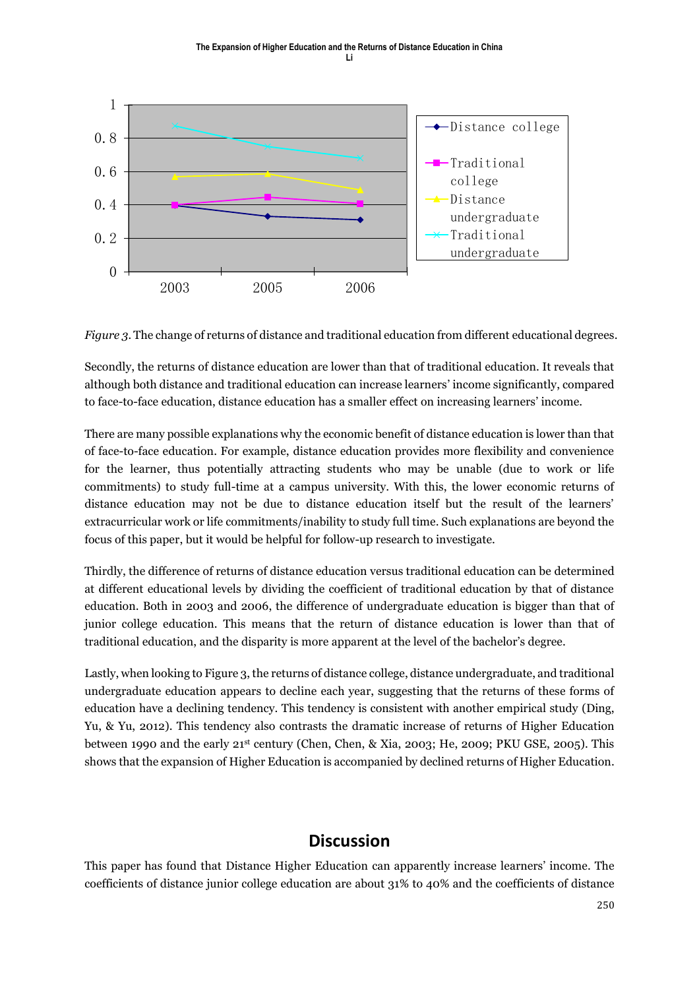

*Figure 3.* The change of returns of distance and traditional education from different educational degrees.

Secondly, the returns of distance education are lower than that of traditional education. It reveals that although both distance and traditional education can increase learners' income significantly, compared to face-to-face education, distance education has a smaller effect on increasing learners' income.

There are many possible explanations why the economic benefit of distance education is lower than that of face-to-face education. For example, distance education provides more flexibility and convenience for the learner, thus potentially attracting students who may be unable (due to work or life commitments) to study full-time at a campus university. With this, the lower economic returns of distance education may not be due to distance education itself but the result of the learners' extracurricular work or life commitments/inability to study full time. Such explanations are beyond the focus of this paper, but it would be helpful for follow-up research to investigate.

Thirdly, the difference of returns of distance education versus traditional education can be determined at different educational levels by dividing the coefficient of traditional education by that of distance education. Both in 2003 and 2006, the difference of undergraduate education is bigger than that of junior college education. This means that the return of distance education is lower than that of traditional education, and the disparity is more apparent at the level of the bachelor's degree.

Lastly, when looking to Figure 3, the returns of distance college, distance undergraduate, and traditional undergraduate education appears to decline each year, suggesting that the returns of these forms of education have a declining tendency. This tendency is consistent with another empirical study (Ding, Yu, & Yu, 2012). This tendency also contrasts the dramatic increase of returns of Higher Education between 1990 and the early 21st century (Chen, Chen, & Xia, 2003; He, 2009; PKU GSE, 2005). This shows that the expansion of Higher Education is accompanied by declined returns of Higher Education.

# **Discussion**

This paper has found that Distance Higher Education can apparently increase learners' income. The coefficients of distance junior college education are about 31% to 40% and the coefficients of distance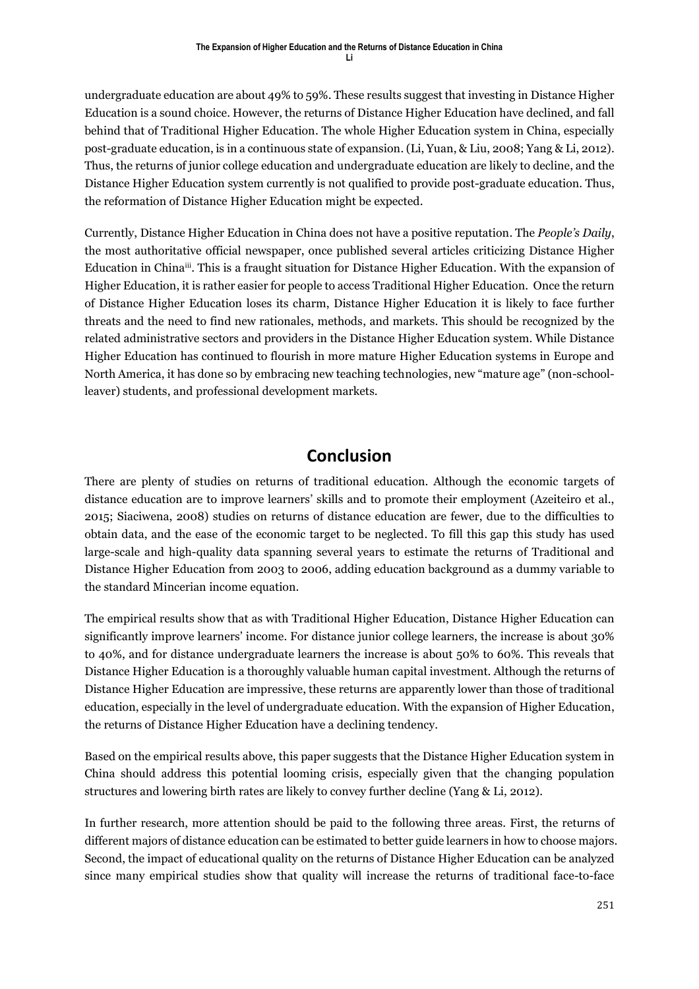undergraduate education are about 49% to 59%. These results suggest that investing in Distance Higher Education is a sound choice. However, the returns of Distance Higher Education have declined, and fall behind that of Traditional Higher Education. The whole Higher Education system in China, especially post-graduate education, is in a continuous state of expansion. (Li, Yuan, & Liu, 2008; Yang & Li, 2012). Thus, the returns of junior college education and undergraduate education are likely to decline, and the Distance Higher Education system currently is not qualified to provide post-graduate education. Thus, the reformation of Distance Higher Education might be expected.

Currently, Distance Higher Education in China does not have a positive reputation. The *People's Daily*, the most authoritative official newspaper, once published several articles criticizing Distance Higher Education in China<sup>iii</sup>. This is a fraught situation for Distance Higher Education. With the expansion of Higher Education, it is rather easier for people to access Traditional Higher Education. Once the return of Distance Higher Education loses its charm, Distance Higher Education it is likely to face further threats and the need to find new rationales, methods, and markets. This should be recognized by the related administrative sectors and providers in the Distance Higher Education system. While Distance Higher Education has continued to flourish in more mature Higher Education systems in Europe and North America, it has done so by embracing new teaching technologies, new "mature age" (non-schoolleaver) students, and professional development markets.

# **Conclusion**

There are plenty of studies on returns of traditional education. Although the economic targets of distance education are to improve learners' skills and to promote their employment (Azeiteiro et al., 2015; Siaciwena, 2008) studies on returns of distance education are fewer, due to the difficulties to obtain data, and the ease of the economic target to be neglected. To fill this gap this study has used large-scale and high-quality data spanning several years to estimate the returns of Traditional and Distance Higher Education from 2003 to 2006, adding education background as a dummy variable to the standard Mincerian income equation.

The empirical results show that as with Traditional Higher Education, Distance Higher Education can significantly improve learners' income. For distance junior college learners, the increase is about 30% to 40%, and for distance undergraduate learners the increase is about 50% to 60%. This reveals that Distance Higher Education is a thoroughly valuable human capital investment. Although the returns of Distance Higher Education are impressive, these returns are apparently lower than those of traditional education, especially in the level of undergraduate education. With the expansion of Higher Education, the returns of Distance Higher Education have a declining tendency.

Based on the empirical results above, this paper suggests that the Distance Higher Education system in China should address this potential looming crisis, especially given that the changing population structures and lowering birth rates are likely to convey further decline (Yang & Li, 2012).

In further research, more attention should be paid to the following three areas. First, the returns of different majors of distance education can be estimated to better guide learners in how to choose majors. Second, the impact of educational quality on the returns of Distance Higher Education can be analyzed since many empirical studies show that quality will increase the returns of traditional face-to-face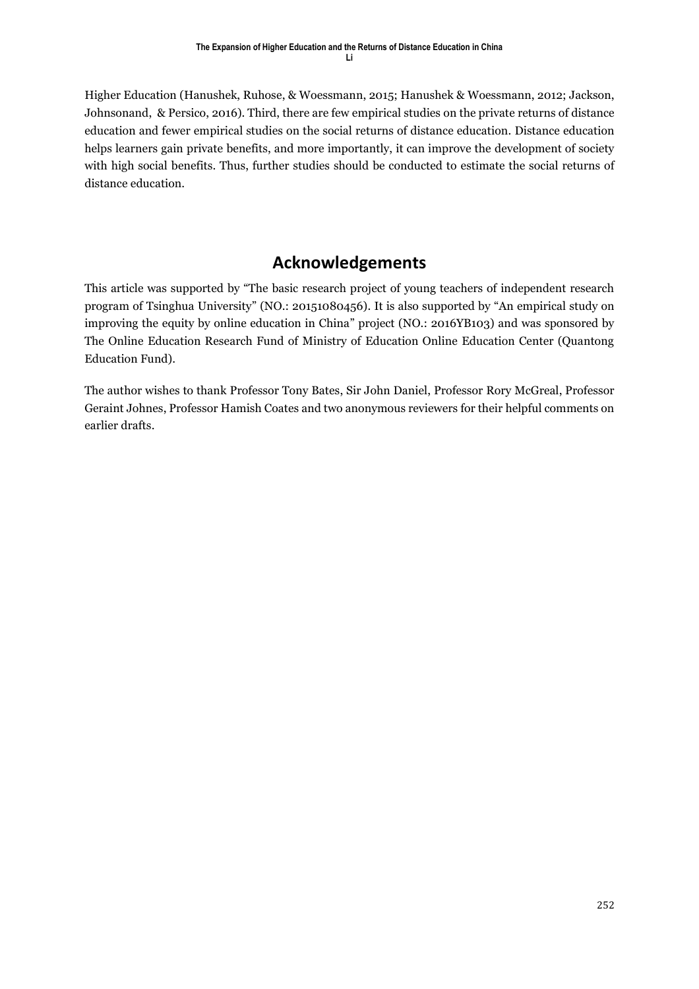Higher Education (Hanushek, Ruhose, & Woessmann, 2015; Hanushek & Woessmann, 2012; Jackson, Johnsonand, & Persico, 2016). Third, there are few empirical studies on the private returns of distance education and fewer empirical studies on the social returns of distance education. Distance education helps learners gain private benefits, and more importantly, it can improve the development of society with high social benefits. Thus, further studies should be conducted to estimate the social returns of distance education.

# **Acknowledgements**

This article was supported by "The basic research project of young teachers of independent research program of Tsinghua University" (NO.: 20151080456). It is also supported by "An empirical study on improving the equity by online education in China" project (NO.: 2016YB103) and was sponsored by The Online Education Research Fund of Ministry of Education Online Education Center (Quantong Education Fund).

The author wishes to thank Professor Tony Bates, Sir John Daniel, Professor Rory McGreal, Professor Geraint Johnes, Professor Hamish Coates and two anonymous reviewers for their helpful comments on earlier drafts.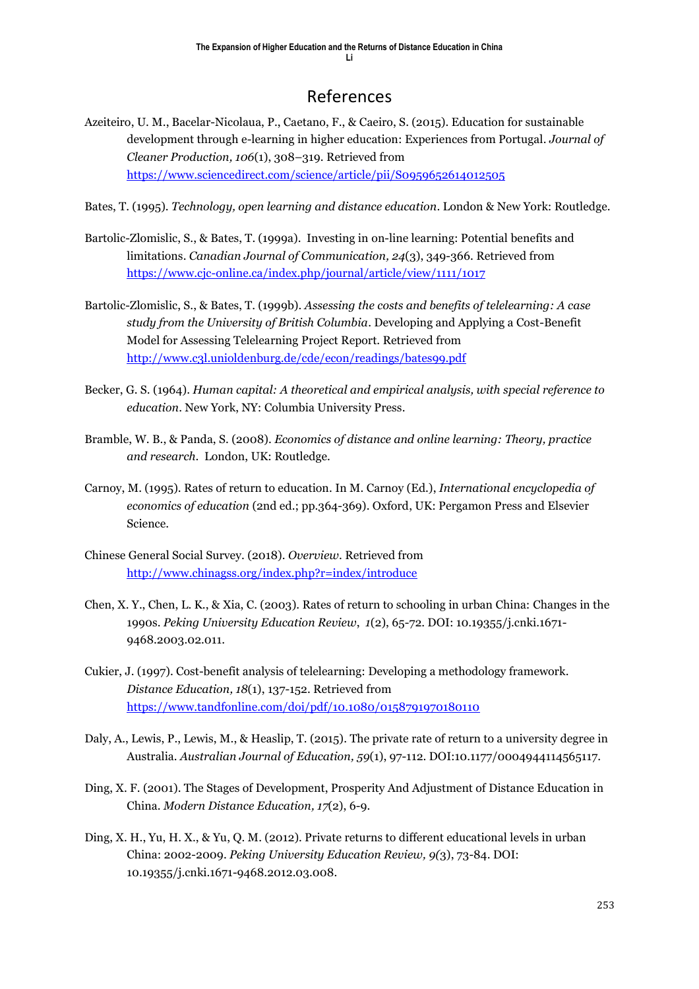# References

- Azeiteiro, U. M., Bacelar-Nicolaua, P., Caetano, F., & Caeiro, S. (2015). Education for sustainable development through e-learning in higher education: Experiences from Portugal. *Journal of Cleaner Production, 106*(1), 308–319. Retrieved from <https://www.sciencedirect.com/science/article/pii/S0959652614012505>
- Bates, T. (1995). *Technology, open learning and distance education*. London & New York: Routledge.
- Bartolic-Zlomislic, S., & Bates, T. (1999a). Investing in on-line learning: Potential benefits and limitations. *Canadian Journal of Communication, 24*(3), 349-366. Retrieved from <https://www.cjc-online.ca/index.php/journal/article/view/1111/1017>
- Bartolic-Zlomislic, S., & Bates, T. (1999b). *Assessing the costs and benefits of telelearning: A case study from the University of British Columbia*. Developing and Applying a Cost-Benefit Model for Assessing Telelearning Project Report. Retrieved from http://www.c3l.unioldenburg.de/cde/econ/readings/bates99.pdf
- Becker, G. S. (1964). *Human capital: A theoretical and empirical analysis, with special reference to education*. New York, NY: Columbia University Press.
- Bramble, W. B., & Panda, S. (2008). *Economics of distance and online learning: Theory, practice and research*. London, UK: Routledge.
- Carnoy, M. (1995). Rates of return to education. In M. Carnoy (Ed.), *International encyclopedia of economics of education* (2nd ed.; pp.364-369). Oxford, UK: Pergamon Press and Elsevier Science.
- Chinese General Social Survey. (2018). *Overview*. Retrieved from http://www.chinagss.org/index.php?r=index/introduce
- Chen, X. Y., Chen, L. K., & Xia, C. (2003). Rates of return to schooling in urban China: Changes in the 1990s. *Peking University Education Review*, *1*(2), 65-72. DOI: 10.19355/j.cnki.1671- 9468.2003.02.011.
- Cukier, J. (1997). Cost-benefit analysis of telelearning: Developing a methodology framework. *Distance Education, 18*(1), 137-152. Retrieved from <https://www.tandfonline.com/doi/pdf/10.1080/0158791970180110>
- Daly, A., Lewis, P., Lewis, M., & Heaslip, T. (2015). The private rate of return to a university degree in Australia. *Australian Journal of Education, 59*(1), 97-112. DOI:10.1177/0004944114565117.
- Ding, X. F. (2001). The Stages of Development, Prosperity And Adjustment of Distance Education in China. *Modern Distance Education, 17*(2), 6-9.
- Ding, X. H., Yu, H. X., & Yu, Q. M. (2012). Private returns to different educational levels in urban China: 2002-2009. *Peking University Education Review, 9(*3), 73-84. DOI: 10.19355/j.cnki.1671-9468.2012.03.008.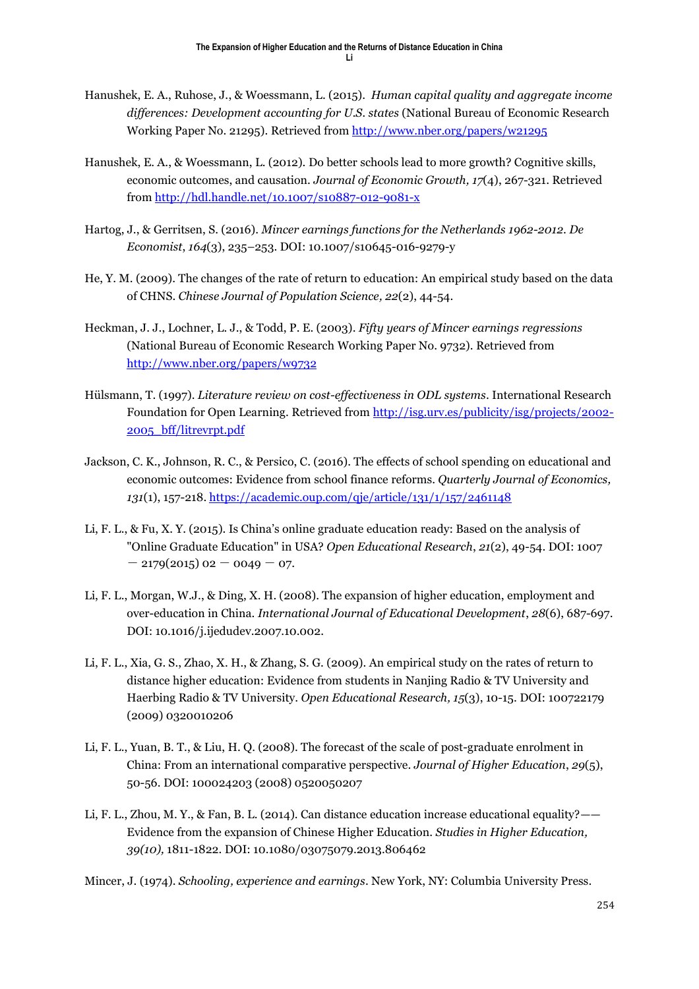- Hanushek, E. A., Ruhose, J., & Woessmann, L. (2015). *Human capital quality and aggregate income differences: Development accounting for U.S. states* (National Bureau of Economic Research Working Paper No. 21295). Retrieved from <http://www.nber.org/papers/w21295>
- Hanushek, E. A., & Woessmann, L. (2012). Do better schools lead to more growth? Cognitive skills, economic outcomes, and causation. *Journal of Economic Growth, 17*(4), 267-321. Retrieved from<http://hdl.handle.net/10.1007/s10887-012-9081-x>
- Hartog, J., & Gerritsen, S. (2016). *Mincer earnings functions for the Netherlands 1962-2012*. *De Economist*, *164*(3), 235–253. DOI: 10.1007/s10645-016-9279-y
- He, Y. M. (2009). The changes of the rate of return to education: An empirical study based on the data of CHNS. *Chinese Journal of Population Science, 22*(2), 44-54.
- Heckman, J. J., Lochner, L. J., & Todd, P. E. (2003). *Fifty years of Mincer earnings regressions* (National Bureau of Economic Research Working Paper No. 9732). Retrieved from <http://www.nber.org/papers/w9732>
- Hülsmann, T. (1997). *Literature review on cost-effectiveness in ODL systems*. International Research Foundation for Open Learning. Retrieved from http://isg.urv.es/publicity/isg/projects/2002- 2005\_bff/litrevrpt.pdf
- Jackson, C. K., Johnson, R. C., & Persico, C. (2016). The effects of school spending on educational and economic outcomes: Evidence from school finance reforms. *Quarterly Journal of Economics, 131*(1), 157-218. <https://academic.oup.com/qje/article/131/1/157/2461148>
- Li, F. L., & Fu, X. Y. (2015). Is China's online graduate education ready: Based on the analysis of "Online Graduate Education" in USA? *Open Educational Research*, *21*(2), 49-54. DOI: 1007  $-$  2179(2015) 02  $-$  0049  $-$  07.
- Li, F. L., Morgan, W.J., & Ding, X. H. (2008). The expansion of higher education, employment and over-education in China. *International Journal of Educational Development*, *28*(6), 687-697. DOI: 10.1016/j.ijedudev.2007.10.002.
- Li, F. L., Xia, G. S., Zhao, X. H., & Zhang, S. G. (2009). An empirical study on the rates of return to distance higher education: Evidence from students in Nanjing Radio & TV University and Haerbing Radio & TV University. *Open Educational Research, 15*(3), 10-15. DOI: 100722179 (2009) 0320010206
- Li, F. L., Yuan, B. T., & Liu, H. Q. (2008). The forecast of the scale of post-graduate enrolment in China: From an international comparative perspective. *Journal of Higher Education*, *29*(5), 50-56. DOI: 100024203 (2008) 0520050207
- Li, F. L., Zhou, M. Y., & Fan, B. L. (2014). Can distance education increase educational equality?—— Evidence from the expansion of Chinese Higher Education. *Studies in Higher Education, 39(10),* 1811-1822. DOI: 10.1080/03075079.2013.806462

Mincer, J. (1974). *Schooling, experience and earnings*. New York, NY: Columbia University Press.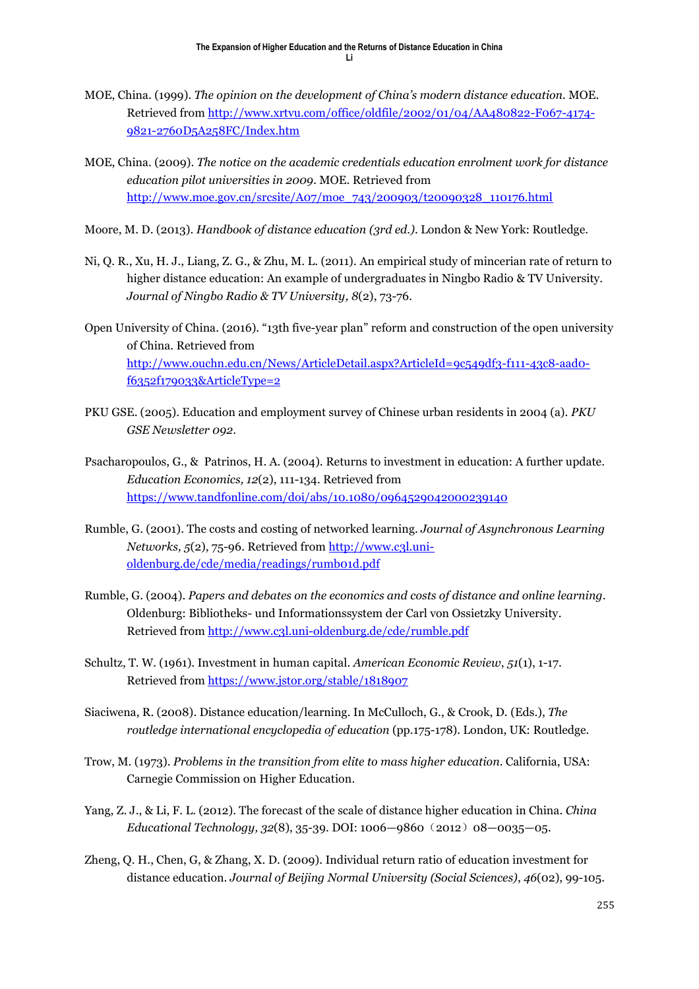- MOE, China. (1999). *The opinion on the development of China's modern distance education.* MOE. Retrieved from [http://www.xrtvu.com/office/oldfile/2002/01/04/AA480822-F067-4174-](http://www.xrtvu.com/office/oldfile/2002/01/04/AA480822-F067-4174-9821-2760D5A258FC/Index.htm) [9821-2760D5A258FC/Index.htm](http://www.xrtvu.com/office/oldfile/2002/01/04/AA480822-F067-4174-9821-2760D5A258FC/Index.htm)
- MOE, China. (2009). *The notice on the academic credentials education enrolment work for distance education pilot universities in 2009.* MOE. Retrieved from [http://www.moe.gov.cn/srcsite/A07/moe\\_743/200903/t20090328\\_110176.html](http://www.moe.gov.cn/srcsite/A07/moe_743/200903/t20090328_110176.html)
- Moore, M. D. (2013). *Handbook of distance education (3rd ed.)*. London & New York: Routledge.
- Ni, Q. R., Xu, H. J., Liang, Z. G., & Zhu, M. L. (2011). An empirical study of mincerian rate of return to higher distance education: An example of undergraduates in Ningbo Radio & TV University. *Journal of Ningbo Radio & TV University, 8*(2), 73-76.
- Open University of China. (2016). "13th five-year plan" reform and construction of the open university of China. Retrieved from [http://www.ouchn.edu.cn/News/ArticleDetail.aspx?ArticleId=9c549df3-f111-43c8-aad0](http://www.ouchn.edu.cn/News/ArticleDetail.aspx?ArticleId=9c549df3-f111-43c8-aad0-f6352f179033&ArticleType=2) [f6352f179033&ArticleType=2](http://www.ouchn.edu.cn/News/ArticleDetail.aspx?ArticleId=9c549df3-f111-43c8-aad0-f6352f179033&ArticleType=2)
- PKU GSE. (2005). Education and employment survey of Chinese urban residents in 2004 (a). *PKU GSE Newsletter 092*.
- Psacharopoulos, G., & Patrinos, H. A. (2004). Returns to investment in education: A further update. *Education Economics, 12*(2), 111-134. Retrieved from <https://www.tandfonline.com/doi/abs/10.1080/0964529042000239140>
- Rumble, G. (2001). The costs and costing of networked learning. *Journal of Asynchronous Learning Networks, 5*(2), 75-96. Retrieved from [http://www.c3l.uni](http://www.c3l.uni-oldenburg.de/cde/media/readings/rumb01d.pdf)[oldenburg.de/cde/media/readings/rumb01d.pdf](http://www.c3l.uni-oldenburg.de/cde/media/readings/rumb01d.pdf)
- Rumble, G. (2004). *Papers and debates on the economics and costs of distance and online learning*. Oldenburg: Bibliotheks- und Informationssystem der Carl von Ossietzky University. Retrieved from <http://www.c3l.uni-oldenburg.de/cde/rumble.pdf>
- Schultz, T. W. (1961). Investment in human capital. *American Economic Review*, *51*(1), 1-17. Retrieved from<https://www.jstor.org/stable/1818907>
- Siaciwena, R. (2008). Distance education/learning. In McCulloch, G., & Crook, D. (Eds.), *The routledge international encyclopedia of education* (pp.175-178). London, UK: Routledge.
- Trow, M. (1973). *Problems in the transition from elite to mass higher education*. California, USA: Carnegie Commission on Higher Education.
- Yang, Z. J., & Li, F. L. (2012). The forecast of the scale of distance higher education in China. *China Educational Technology, 32*(8), 35-39. DOI: 1006—9860(2012)08—0035—05.
- Zheng, Q. H., Chen, G, & Zhang, X. D. (2009). Individual return ratio of education investment for distance education. *Journal of Beijing Normal University (Social Sciences)*, *46*(02), 99-105.